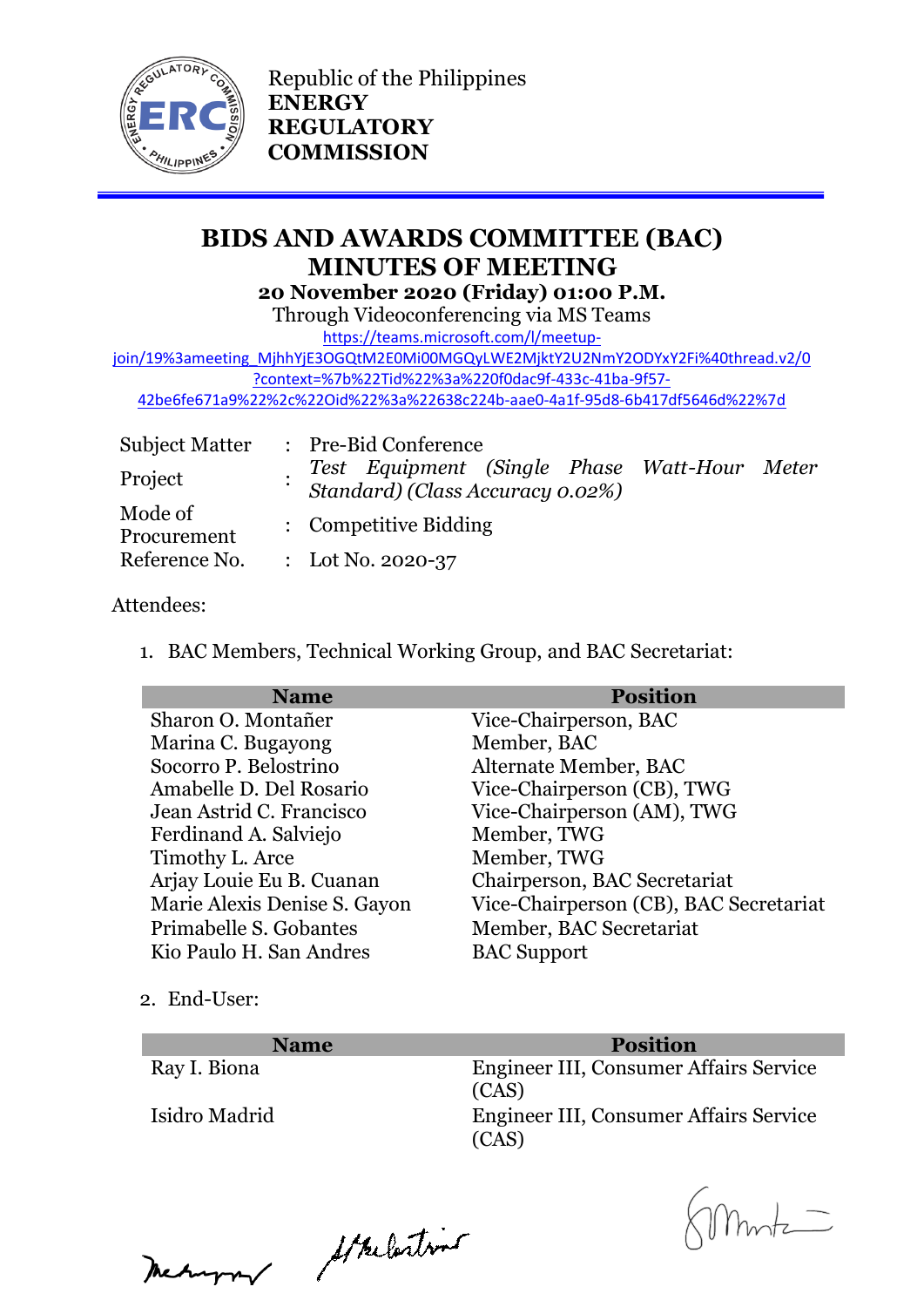

Republic of the Philippines **ENERGY REGULATORY COMMISSION**

# **BIDS AND AWARDS COMMITTEE (BAC) MINUTES OF MEETING 20 November 2020 (Friday) 01:00 P.M.**

Through Videoconferencing via MS Teams

[https://teams.microsoft.com/l/meetup-](https://teams.microsoft.com/l/meetup-join/19%3ameeting_MjhhYjE3OGQtM2E0Mi00MGQyLWE2MjktY2U2NmY2ODYxY2Fi%40thread.v2/0?context=%7b%22Tid%22%3a%220f0dac9f-433c-41ba-9f57-42be6fe671a9%22%2c%22Oid%22%3a%22638c224b-aae0-4a1f-95d8-6b417df5646d%22%7d)

[join/19%3ameeting\\_MjhhYjE3OGQtM2E0Mi00MGQyLWE2MjktY2U2NmY2ODYxY2Fi%40thread.v2/0](https://teams.microsoft.com/l/meetup-join/19%3ameeting_MjhhYjE3OGQtM2E0Mi00MGQyLWE2MjktY2U2NmY2ODYxY2Fi%40thread.v2/0?context=%7b%22Tid%22%3a%220f0dac9f-433c-41ba-9f57-42be6fe671a9%22%2c%22Oid%22%3a%22638c224b-aae0-4a1f-95d8-6b417df5646d%22%7d) [?context=%7b%22Tid%22%3a%220f0dac9f-433c-41ba-9f57-](https://teams.microsoft.com/l/meetup-join/19%3ameeting_MjhhYjE3OGQtM2E0Mi00MGQyLWE2MjktY2U2NmY2ODYxY2Fi%40thread.v2/0?context=%7b%22Tid%22%3a%220f0dac9f-433c-41ba-9f57-42be6fe671a9%22%2c%22Oid%22%3a%22638c224b-aae0-4a1f-95d8-6b417df5646d%22%7d)

[42be6fe671a9%22%2c%22Oid%22%3a%22638c224b-aae0-4a1f-95d8-6b417df5646d%22%7d](https://teams.microsoft.com/l/meetup-join/19%3ameeting_MjhhYjE3OGQtM2E0Mi00MGQyLWE2MjktY2U2NmY2ODYxY2Fi%40thread.v2/0?context=%7b%22Tid%22%3a%220f0dac9f-433c-41ba-9f57-42be6fe671a9%22%2c%22Oid%22%3a%22638c224b-aae0-4a1f-95d8-6b417df5646d%22%7d)

| <b>Subject Matter</b>  | : Pre-Bid Conference                                                             |  |  |
|------------------------|----------------------------------------------------------------------------------|--|--|
| Project                | Test Equipment (Single Phase Watt-Hour Meter<br>Standard) (Class Accuracy 0.02%) |  |  |
| Mode of<br>Procurement | : Competitive Bidding                                                            |  |  |
| Reference No.          | : Lot No. 2020-37                                                                |  |  |

### Attendees:

1. BAC Members, Technical Working Group, and BAC Secretariat:

| <b>Name</b>                  | <b>Position</b>                        |
|------------------------------|----------------------------------------|
| Sharon O. Montañer           | Vice-Chairperson, BAC                  |
| Marina C. Bugayong           | Member, BAC                            |
| Socorro P. Belostrino        | Alternate Member, BAC                  |
| Amabelle D. Del Rosario      | Vice-Chairperson (CB), TWG             |
| Jean Astrid C. Francisco     | Vice-Chairperson (AM), TWG             |
| Ferdinand A. Salviejo        | Member, TWG                            |
| Timothy L. Arce              | Member, TWG                            |
| Arjay Louie Eu B. Cuanan     | Chairperson, BAC Secretariat           |
| Marie Alexis Denise S. Gayon | Vice-Chairperson (CB), BAC Secretariat |
| Primabelle S. Gobantes       | Member, BAC Secretariat                |
| Kio Paulo H. San Andres      | <b>BAC</b> Support                     |

2. End-User:

| <b>Name</b>   | <b>Position</b>                                 |
|---------------|-------------------------------------------------|
| Ray I. Biona  | Engineer III, Consumer Affairs Service<br>(CAS) |
| Isidro Madrid | Engineer III, Consumer Affairs Service<br>(CAS) |

Meanwar Strelastins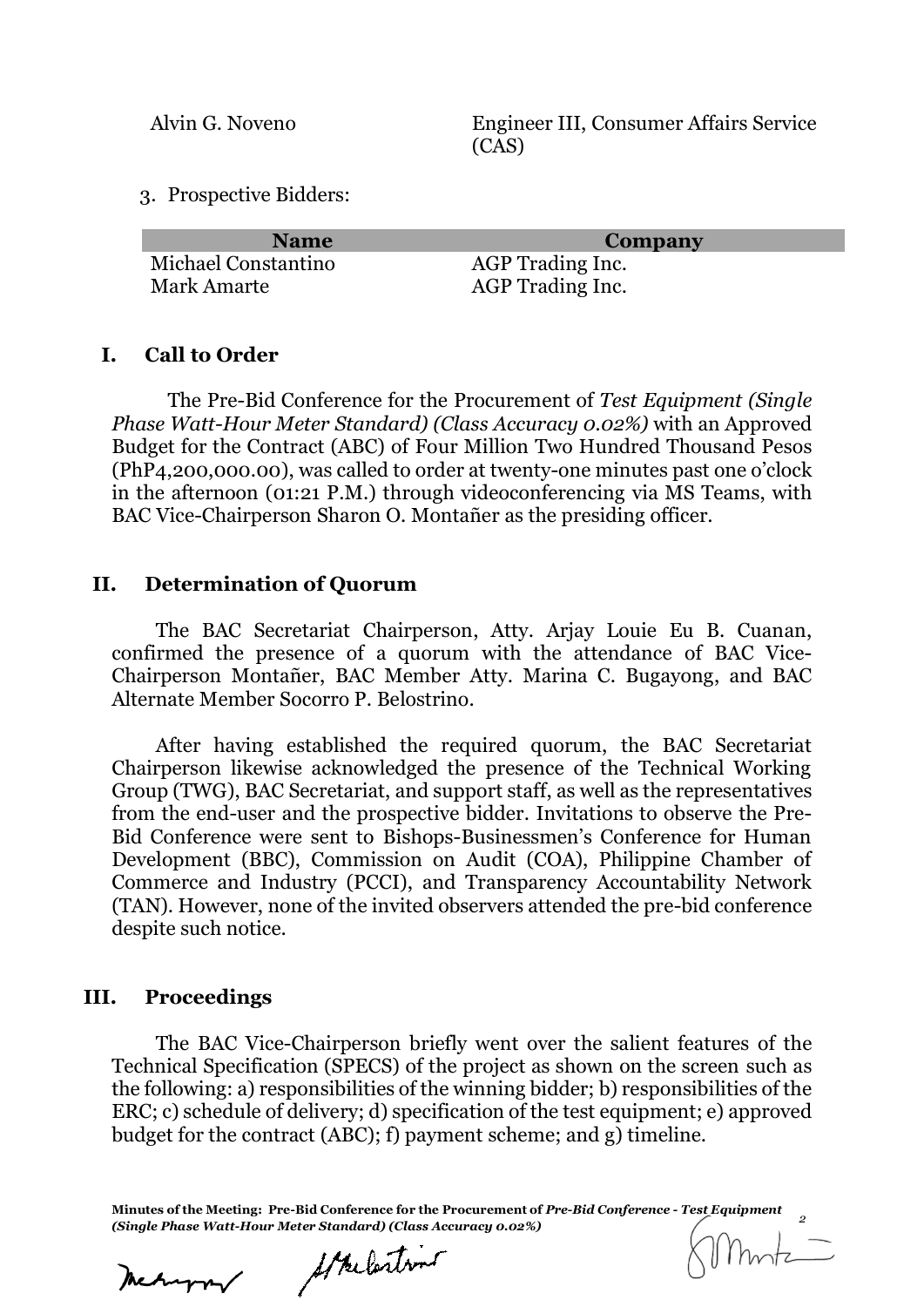Alvin G. Noveno Engineer III, Consumer Affairs Service (CAS)

3. Prospective Bidders:

| <b>Name</b>         | Company          |
|---------------------|------------------|
| Michael Constantino | AGP Trading Inc. |
| Mark Amarte         | AGP Trading Inc. |

#### **I. Call to Order**

The Pre-Bid Conference for the Procurement of *Test Equipment (Single Phase Watt-Hour Meter Standard) (Class Accuracy 0.02%)* with an Approved Budget for the Contract (ABC) of Four Million Two Hundred Thousand Pesos (PhP4,200,000.00), was called to order at twenty-one minutes past one o'clock in the afternoon (01:21 P.M.) through videoconferencing via MS Teams, with BAC Vice-Chairperson Sharon O. Montañer as the presiding officer.

#### **II. Determination of Quorum**

The BAC Secretariat Chairperson, Atty. Arjay Louie Eu B. Cuanan, confirmed the presence of a quorum with the attendance of BAC Vice-Chairperson Montañer, BAC Member Atty. Marina C. Bugayong, and BAC Alternate Member Socorro P. Belostrino.

After having established the required quorum, the BAC Secretariat Chairperson likewise acknowledged the presence of the Technical Working Group (TWG), BAC Secretariat, and support staff, as well as the representatives from the end-user and the prospective bidder. Invitations to observe the Pre-Bid Conference were sent to Bishops-Businessmen's Conference for Human Development (BBC), Commission on Audit (COA), Philippine Chamber of Commerce and Industry (PCCI), and Transparency Accountability Network (TAN). However, none of the invited observers attended the pre-bid conference despite such notice.

#### **III. Proceedings**

The BAC Vice-Chairperson briefly went over the salient features of the Technical Specification (SPECS) of the project as shown on the screen such as the following: a) responsibilities of the winning bidder; b) responsibilities of the ERC; c) schedule of delivery; d) specification of the test equipment; e) approved budget for the contract (ABC); f) payment scheme; and g) timeline.

**Minutes of the Meeting: Pre-Bid Conference for the Procurement of** *Pre-Bid Conference - Test Equipment (Single Phase Watt-Hour Meter Standard) (Class Accuracy 0.02%) <sup>2</sup>*

Mechanon

Strelastin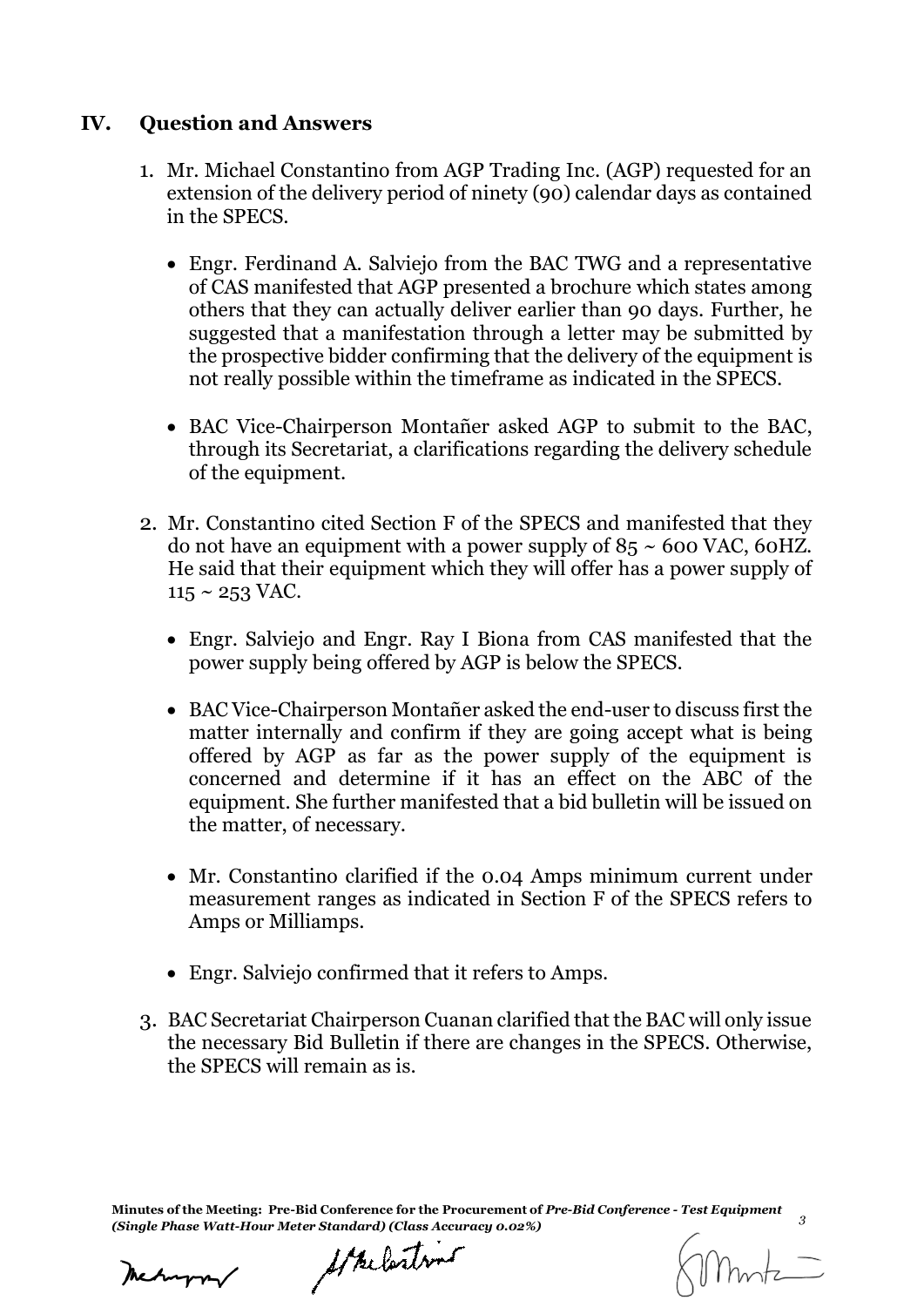## **IV. Question and Answers**

- 1. Mr. Michael Constantino from AGP Trading Inc. (AGP) requested for an extension of the delivery period of ninety (90) calendar days as contained in the SPECS.
	- Engr. Ferdinand A. Salviejo from the BAC TWG and a representative of CAS manifested that AGP presented a brochure which states among others that they can actually deliver earlier than 90 days. Further, he suggested that a manifestation through a letter may be submitted by the prospective bidder confirming that the delivery of the equipment is not really possible within the timeframe as indicated in the SPECS.
	- BAC Vice-Chairperson Montañer asked AGP to submit to the BAC, through its Secretariat, a clarifications regarding the delivery schedule of the equipment.
- 2. Mr. Constantino cited Section F of the SPECS and manifested that they do not have an equipment with a power supply of  $85 \sim 600$  VAC, 60HZ. He said that their equipment which they will offer has a power supply of  $115 \sim 253$  VAC.
	- Engr. Salviejo and Engr. Ray I Biona from CAS manifested that the power supply being offered by AGP is below the SPECS.
	- BAC Vice-Chairperson Montañer asked the end-user to discuss first the matter internally and confirm if they are going accept what is being offered by AGP as far as the power supply of the equipment is concerned and determine if it has an effect on the ABC of the equipment. She further manifested that a bid bulletin will be issued on the matter, of necessary.
	- Mr. Constantino clarified if the 0.04 Amps minimum current under measurement ranges as indicated in Section F of the SPECS refers to Amps or Milliamps.
	- Engr. Salviejo confirmed that it refers to Amps.
- 3. BAC Secretariat Chairperson Cuanan clarified that the BAC will only issue the necessary Bid Bulletin if there are changes in the SPECS. Otherwise, the SPECS will remain as is.

**Minutes of the Meeting: Pre-Bid Conference for the Procurement of** *Pre-Bid Conference - Test Equipment (Single Phase Watt-Hour Meter Standard) (Class Accuracy 0.02%) <sup>3</sup>*

Strelastins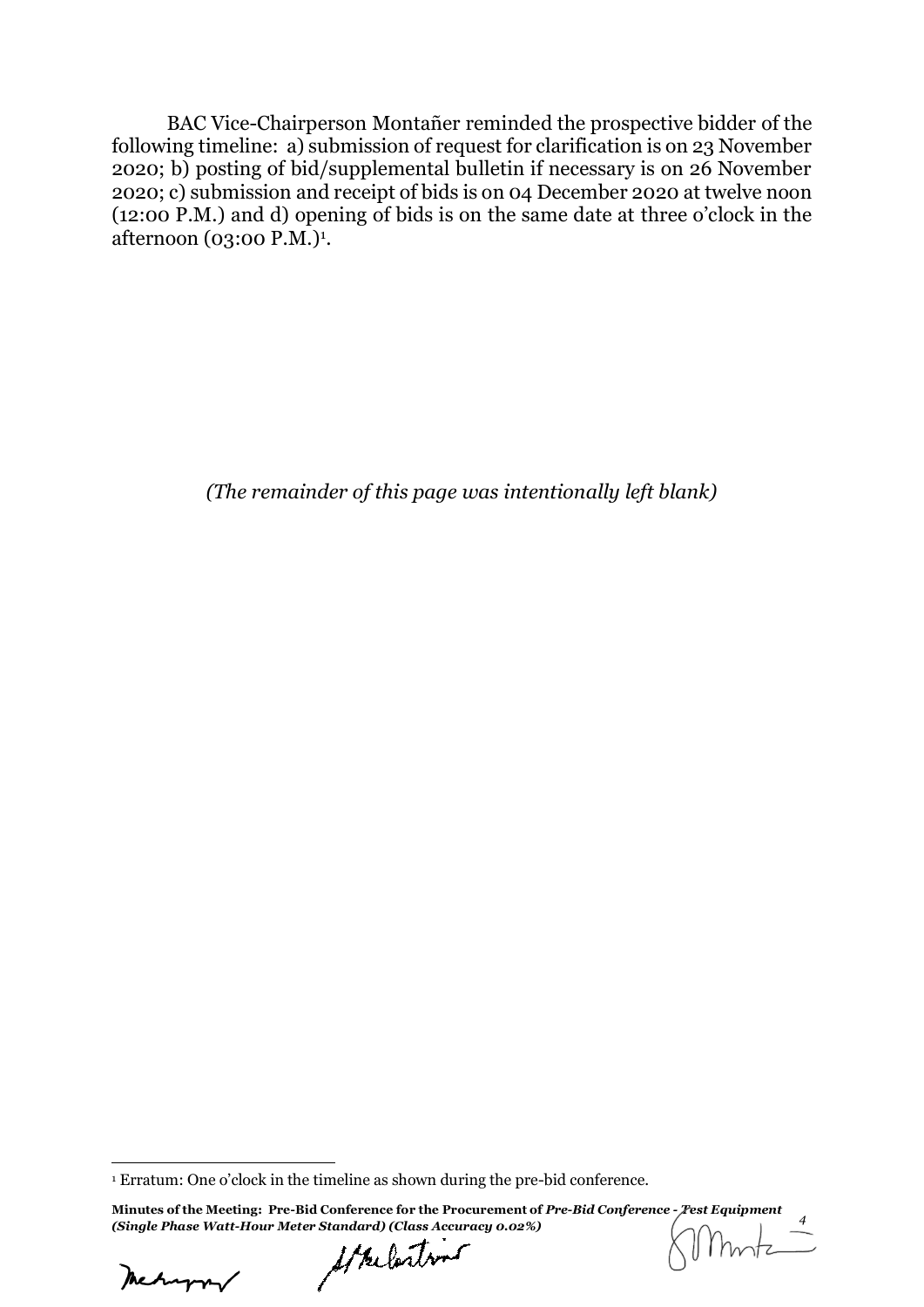BAC Vice-Chairperson Montañer reminded the prospective bidder of the following timeline: a) submission of request for clarification is on 23 November 2020; b) posting of bid/supplemental bulletin if necessary is on 26 November 2020; c) submission and receipt of bids is on 04 December 2020 at twelve noon (12:00 P.M.) and d) opening of bids is on the same date at three o'clock in the afternoon (03:00 P.M.)<sup>1</sup>.

*(The remainder of this page was intentionally left blank)*

Mehappy

-

<sup>1</sup> Erratum: One o'clock in the timeline as shown during the pre-bid conference.

**Minutes of the Meeting: Pre-Bid Conference for the Procurement of** *Pre-Bid Conference - Test Equipment (Single Phase Watt-Hour Meter Standard) (Class Accuracy 0.02%) <sup>4</sup>*